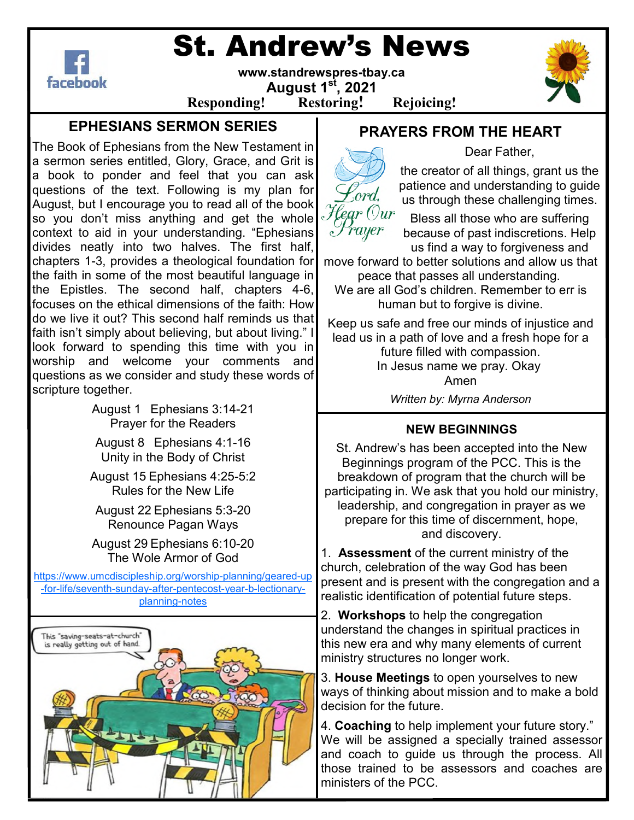

# St. Andrew's News

**www.standrewspres-tbay.ca August 1st, 2021** 



**Responding! Restoring! Rejoicing!**

### **EPHESIANS SERMON SERIES**

The Book of Ephesians from the New Testament in a sermon series entitled, Glory, Grace, and Grit is a book to ponder and feel that you can ask questions of the text. Following is my plan for August, but I encourage you to read all of the book so you don't miss anything and get the whole context to aid in your understanding. "Ephesians divides neatly into two halves. The first half, chapters 1-3, provides a theological foundation for the faith in some of the most beautiful language in the Epistles. The second half, chapters 4-6, focuses on the ethical dimensions of the faith: How do we live it out? This second half reminds us that faith isn't simply about believing, but about living." I look forward to spending this time with you in worship and welcome your comments and questions as we consider and study these words of scripture together.

> August 1 Ephesians 3:14-21 Prayer for the Readers

August 8 Ephesians 4:1-16 Unity in the Body of Christ

August 15 Ephesians 4:25-5:2 Rules for the New Life

August 22 Ephesians 5:3-20 Renounce Pagan Ways

August 29 Ephesians 6:10-20 The Wole Armor of God

https://www.umcdiscipleship.org/worship-planning/geared-up -for-life/seventh-sunday-after-pentecost-year-b-lectionaryplanning-notes



## **PRAYERS FROM THE HEART**



Dear Father,

the creator of all things, grant us the patience and understanding to guide us through these challenging times.

Bless all those who are suffering because of past indiscretions. Help us find a way to forgiveness and

move forward to better solutions and allow us that peace that passes all understanding.

We are all God's children. Remember to err is human but to forgive is divine.

Keep us safe and free our minds of injustice and lead us in a path of love and a fresh hope for a future filled with compassion.

In Jesus name we pray. Okay Amen

*Written by: Myrna Anderson* 

#### **NEW BEGINNINGS**

St. Andrew's has been accepted into the New Beginnings program of the PCC. This is the breakdown of program that the church will be participating in. We ask that you hold our ministry, leadership, and congregation in prayer as we prepare for this time of discernment, hope, and discovery.

1. **Assessment** of the current ministry of the church, celebration of the way God has been present and is present with the congregation and a realistic identification of potential future steps.

2. **Workshops** to help the congregation understand the changes in spiritual practices in this new era and why many elements of current ministry structures no longer work.

3. **House Meetings** to open yourselves to new ways of thinking about mission and to make a bold decision for the future.

4. **Coaching** to help implement your future story." We will be assigned a specially trained assessor and coach to guide us through the process. All those trained to be assessors and coaches are ministers of the PCC.